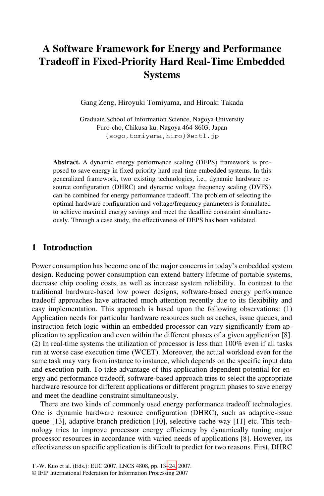# **A Software Framework for Energy and Performance Tradeoff in Fixed-Priority Hard Real-Time Embedded Systems**

Gang Zeng, Hiroyuki Tomiyama, and Hiroaki Takada

Graduate School of Information Science, Nagoya University Furo-cho, Chikusa-ku, Nagoya 464-8603, Japan {sogo,tomiyama,hiro}@ertl.jp

**Abstract.** A dynamic energy performance scaling (DEPS) framework is proposed to save energy in fixed-priority hard real-time embedded systems. In this generalized framework, two existing technologies, i.e., dynamic hardware resource configuration (DHRC) and dynamic voltage frequency scaling (DVFS) can be combined for energy performance tradeoff. The problem of selecting the optimal hardware configuration and voltage/frequency parameters is formulated to achieve maximal energy savings and meet the deadline constraint simultaneously. Through a case study, the effectiveness of DEPS has been validated.

# **1 Introduction**

Power consumption has become one of the major concerns in today's embedded system design. Reducing power consumption can extend battery lifetime of portable systems, decrease chip cooling costs, as well as increase system reliability. In contrast to the traditional hardware-based low power designs, software-based energy performance tradeoff approaches have attracted much attention recently due to its flexibility and easy implementation. This approach is based upon the following observations: (1) Application needs for particular hardware resources such as caches, issue queues, and instruction fetch logic within an embedded processor can vary significantly from application to application and even within the different phases of a given application [8]. (2) In real-time systems the utilization of processor is less than 100% even if all tasks run at worse case execution time (WCET). Moreover, the actual workload even for the same task may vary from instance to instance, which depends on the specific input data and execution path. To take advantage of this application-dependent potential for energy and performance tradeoff, software-based approach tries to select the appropriate hardware resource for different applications or different program phases to save energy and meet the deadline c[onst](#page-11-0)raint simultaneously.

There are two kinds of commonly used energy performance tradeoff technologies. One is dynamic hardware resource configuration (DHRC), such as adaptive-issue queue [13], adaptive branch prediction [10], selective cache way [11] etc. This technology tries to improve processor energy efficiency by dynamically tuning major processor resources in accordance with varied needs of applications [8]. However, its effectiveness on specific application is difficult to predict for two reasons. First, DHRC

T.-W. Kuo et al. (Eds.): EUC 2007, LNCS 4808, pp. 13–24, 2007.

<sup>©</sup> IFIP International Federation for Information Processing 2007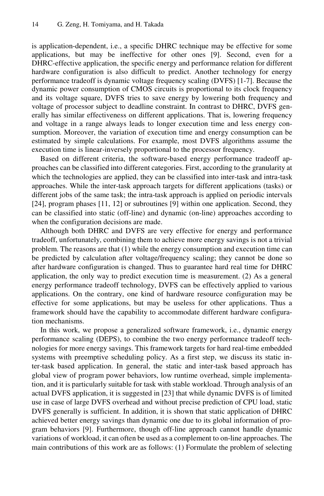is application-dependent, i.e., a specific DHRC technique may be effective for some applications, but may be ineffective for other ones [9]. Second, even for a DHRC-effective application, the specific energy and performance relation for different hardware configuration is also difficult to predict. Another technology for energy performance tradeoff is dynamic voltage frequency scaling (DVFS) [1-7]. Because the dynamic power consumption of CMOS circuits is proportional to its clock frequency and its voltage square, DVFS tries to save energy by lowering both frequency and voltage of processor subject to deadline constraint. In contrast to DHRC, DVFS generally has similar effectiveness on different applications. That is, lowering frequency and voltage in a range always leads to longer execution time and less energy consumption. Moreover, the variation of execution time and energy consumption can be estimated by simple calculations. For example, most DVFS algorithms assume the execution time is linear-inversely proportional to the processor frequency.

Based on different criteria, the software-based energy performance tradeoff approaches can be classified into different categories. First, according to the granularity at which the technologies are applied, they can be classified into inter-task and intra-task approaches. While the inter-task approach targets for different applications (tasks) or different jobs of the same task; the intra-task approach is applied on periodic intervals [24], program phases [11, 12] or subroutines [9] within one application. Second, they can be classified into static (off-line) and dynamic (on-line) approaches according to when the configuration decisions are made.

Although both DHRC and DVFS are very effective for energy and performance tradeoff, unfortunately, combining them to achieve more energy savings is not a trivial problem. The reasons are that (1) while the energy consumption and execution time can be predicted by calculation after voltage/frequency scaling; they cannot be done so after hardware configuration is changed. Thus to guarantee hard real time for DHRC application, the only way to predict execution time is measurement. (2) As a general energy performance tradeoff technology, DVFS can be effectively applied to various applications. On the contrary, one kind of hardware resource configuration may be effective for some applications, but may be useless for other applications. Thus a framework should have the capability to accommodate different hardware configuration mechanisms.

In this work, we propose a generalized software framework, i.e., dynamic energy performance scaling (DEPS), to combine the two energy performance tradeoff technologies for more energy savings. This framework targets for hard real-time embedded systems with preemptive scheduling policy. As a first step, we discuss its static inter-task based application. In general, the static and inter-task based approach has global view of program power behaviors, low runtime overhead, simple implementation, and it is particularly suitable for task with stable workload. Through analysis of an actual DVFS application, it is suggested in [23] that while dynamic DVFS is of limited use in case of large DVFS overhead and without precise prediction of CPU load, static DVFS generally is sufficient. In addition, it is shown that static application of DHRC achieved better energy savings than dynamic one due to its global information of program behaviors [9]. Furthermore, though off-line approach cannot handle dynamic variations of workload, it can often be used as a complement to on-line approaches. The main contributions of this work are as follows: (1) Formulate the problem of selecting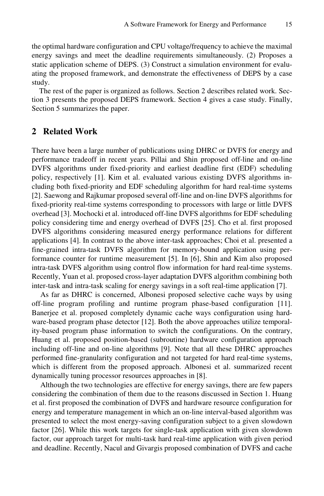the optimal hardware configuration and CPU voltage/frequency to achieve the maximal energy savings and meet the deadline requirements simultaneously. (2) Proposes a static application scheme of DEPS. (3) Construct a simulation environment for evaluating the proposed framework, and demonstrate the effectiveness of DEPS by a case study.

The rest of the paper is organized as follows. Section 2 describes related work. Section 3 presents the proposed DEPS framework. Section 4 gives a case study. Finally, Section 5 summarizes the paper.

## **2 Related Work**

There have been a large number of publications using DHRC or DVFS for energy and performance tradeoff in recent years. Pillai and Shin proposed off-line and on-line DVFS algorithms under fixed-priority and earliest deadline first (EDF) scheduling policy, respectively [1]. Kim et al. evaluated various existing DVFS algorithms including both fixed-priority and EDF scheduling algorithm for hard real-time systems [2]. Saewong and Rajkumar proposed several off-line and on-line DVFS algorithms for fixed-priority real-time systems corresponding to processors with large or little DVFS overhead [3]. Mochocki et al. introduced off-line DVFS algorithms for EDF scheduling policy considering time and energy overhead of DVFS [25]. Cho et al. first proposed DVFS algorithms considering measured energy performance relations for different applications [4]. In contrast to the above inter-task approaches; Choi et al. presented a fine-grained intra-task DVFS algorithm for memory-bound application using performance counter for runtime measurement [5]. In [6], Shin and Kim also proposed intra-task DVFS algorithm using control flow information for hard real-time systems. Recently, Yuan et al. proposed cross-layer adaptation DVFS algorithm combining both inter-task and intra-task scaling for energy savings in a soft real-time application [7].

As far as DHRC is concerned, Albonesi proposed selective cache ways by using off-line program profiling and runtime program phase-based configuration [11]. Banerjee et al. proposed completely dynamic cache ways configuration using hardware-based program phase detector [12]. Both the above approaches utilize temporality-based program phase information to switch the configurations. On the contrary, Huang et al. proposed position-based (subroutine) hardware configuration approach including off-line and on-line algorithms [9]. Note that all these DHRC approaches performed fine-granularity configuration and not targeted for hard real-time systems, which is different from the proposed approach. Albonesi et al. summarized recent dynamically tuning processor resources approaches in [8].

Although the two technologies are effective for energy savings, there are few papers considering the combination of them due to the reasons discussed in Section 1. Huang et al. first proposed the combination of DVFS and hardware resource configuration for energy and temperature management in which an on-line interval-based algorithm was presented to select the most energy-saving configuration subject to a given slowdown factor [26]. While this work targets for single-task application with given slowdown factor, our approach target for multi-task hard real-time application with given period and deadline. Recently, Nacul and Givargis proposed combination of DVFS and cache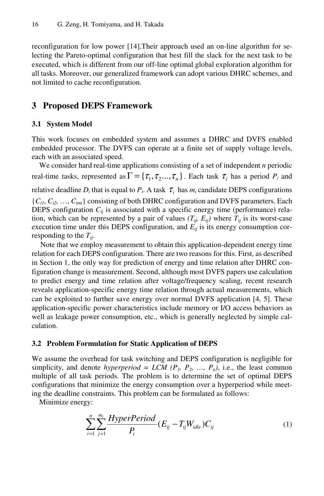reconfiguration for low power [14].Their approach used an on-line algorithm for selecting the Pareto-optimal configuration that best fill the slack for the next task to be executed, which is different from our off-line optimal global exploration algorithm for all tasks. Moreover, our generalized framework can adopt various DHRC schemes, and not limited to cache reconfiguration.

# **3 Proposed DEPS Framework**

#### **3.1 System Model**

This work focuses on embedded system and assumes a DHRC and DVFS enabled embedded processor. The DVFS can operate at a finite set of supply voltage levels, each with an associated speed.

We consider hard real-time applications consisting of a set of independent *n* periodic real-time tasks, represented as  $\Gamma = {\tau_1, \tau_2, ..., \tau_n}$ . Each task  $\tau_i$  has a period  $P_i$  and

relative deadline  $D_i$  that is equal to  $P_i$ . A task  $\tau_i$  has  $m_i$  candidate DEPS configurations

{*Ci1*, *Ci2,* …, *Cimi*} consisting of both DHRC configuration and DVFS parameters. Each DEPS configuration  $C_{ij}$  is associated with a specific energy time (performance) relation, which can be represented by a pair of values  $(T_{ij}, E_{ij})$  where  $T_{ij}$  is its worst-case execution time under this DEPS configuration, and  $E_{ij}$  is its energy consumption corresponding to the *Tij*.

Note that we employ measurement to obtain this application-dependent energy time relation for each DEPS configuration. There are two reasons for this. First, as described in Section 1, the only way for prediction of energy and time relation after DHRC configuration change is measurement. Second, although most DVFS papers use calculation to predict energy and time relation after voltage/frequency scaling, recent research reveals application-specific energy time relation through actual measurements, which can be exploited to further save energy over normal DVFS application [4, 5]. These application-specific power characteristics include memory or I/O access behaviors as well as leakage power consumption, etc., which is generally neglected by simple calculation.

#### **3.2 Problem Formulation for Static Application of DEPS**

We assume the overhead for task switching and DEPS configuration is negligible for simplicity, and denote *hyperperiod = LCM* ( $P_1$ ,  $P_2$ , ...,  $P_n$ ), i.e., the least common multiple of all task periods. The problem is to determine the set of optimal DEPS configurations that minimize the energy consumption over a hyperperiod while meeting the deadline constraints. This problem can be formulated as follows:

Minimize energy:

$$
\sum_{i=1}^{n} \sum_{j=1}^{m_i} \frac{HyperPeriod}{P_i} (E_{ij} - T_{ij}W_{idle}) C_{ij}
$$
 (1)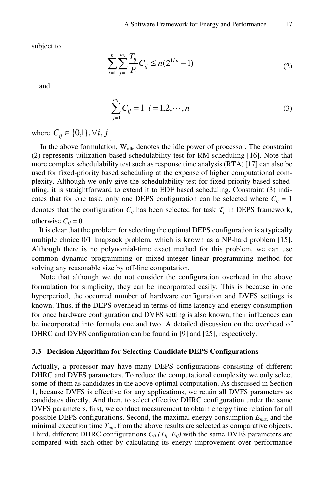subject to

$$
\sum_{i=1}^{n} \sum_{j=1}^{m_i} \frac{T_{ij}}{P_i} C_{ij} \le n(2^{1/n} - 1)
$$
\n(2)

and

$$
\sum_{j=1}^{m_i} C_{ij} = 1 \quad i = 1, 2, \cdots, n \tag{3}
$$

where  $C_i \in \{0,1\}, \forall i, j$ 

In the above formulation,  $W_{idle}$  denotes the idle power of processor. The constraint (2) represents utilization-based schedulability test for RM scheduling [16]. Note that more complex schedulability test such as response time analysis (RTA) [17] can also be used for fixed-priority based scheduling at the expense of higher computational complexity. Although we only give the schedulability test for fixed-priority based scheduling, it is straightforward to extend it to EDF based scheduling. Constraint (3) indicates that for one task, only one DEPS configuration can be selected where  $C_{ij} = 1$ denotes that the configuration  $C_{ij}$  has been selected for task  $\tau_i$  in DEPS framework, otherwise  $C_{ii} = 0$ .

It is clear that the problem for selecting the optimal DEPS configuration is a typically multiple choice 0/1 knapsack problem, which is known as a NP-hard problem [15]. Although there is no polynomial-time exact method for this problem, we can use common dynamic programming or mixed-integer linear programming method for solving any reasonable size by off-line computation.

Note that although we do not consider the configuration overhead in the above formulation for simplicity, they can be incorporated easily. This is because in one hyperperiod, the occurred number of hardware configuration and DVFS settings is known. Thus, if the DEPS overhead in terms of time latency and energy consumption for once hardware configuration and DVFS setting is also known, their influences can be incorporated into formula one and two. A detailed discussion on the overhead of DHRC and DVFS configuration can be found in [9] and [25], respectively.

#### **3.3 Decision Algorithm for Selecting Candidate DEPS Configurations**

Actually, a processor may have many DEPS configurations consisting of different DHRC and DVFS parameters. To reduce the computational complexity we only select some of them as candidates in the above optimal computation. As discussed in Section 1, because DVFS is effective for any applications, we retain all DVFS parameters as candidates directly. And then, to select effective DHRC configuration under the same DVFS parameters, first, we conduct measurement to obtain energy time relation for all possible DEPS configurations. Second, the maximal energy consumption *Emax* and the minimal execution time  $T_{min}$  from the above results are selected as comparative objects. Third, different DHRC configurations  $C_{ij}$  ( $T_{ij}$ ,  $E_{ij}$ ) with the same DVFS parameters are compared with each other by calculating its energy improvement over performance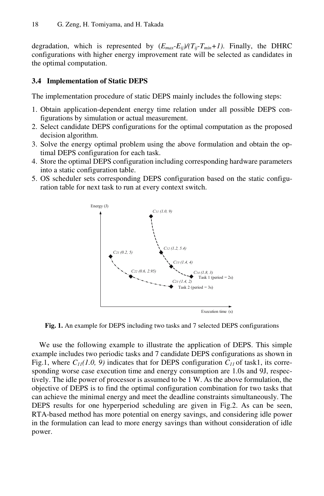degradation, which is represented by  $(E_{max} - E_{ij})/(T_{ij} - T_{min} + 1)$ . Finally, the DHRC configurations with higher energy improvement rate will be selected as candidates in the optimal computation.

#### **3.4 Implementation of Static DEPS**

The implementation procedure of static DEPS mainly includes the following steps:

- 1. Obtain application-dependent energy time relation under all possible DEPS configurations by simulation or actual measurement.
- 2. Select candidate DEPS configurations for the optimal computation as the proposed decision algorithm.
- 3. Solve the energy optimal problem using the above formulation and obtain the optimal DEPS configuration for each task.
- 4. Store the optimal DEPS configuration including corresponding hardware parameters into a static configuration table.
- 5. OS scheduler sets corresponding DEPS configuration based on the static configuration table for next task to run at every context switch.



**Fig. 1.** An example for DEPS including two tasks and 7 selected DEPS configurations

We use the following example to illustrate the application of DEPS. This simple example includes two periodic tasks and 7 candidate DEPS configurations as shown in Fig.1, where  $C_{11}(1.0, 9)$  indicates that for DEPS configuration  $C_{11}$  of task1, its corresponding worse case execution time and energy consumption are 1.0s and 9J, respectively. The idle power of processor is assumed to be 1 W. As the above formulation, the objective of DEPS is to find the optimal configuration combination for two tasks that can achieve the minimal energy and meet the deadline constraints simultaneously. The DEPS results for one hyperperiod scheduling are given in Fig.2. As can be seen, RTA-based method has more potential on energy savings, and considering idle power in the formulation can lead to more energy savings than without consideration of idle power.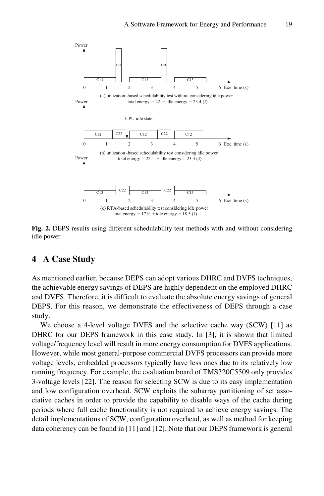

**Fig. 2.** DEPS results using different schedulability test methods with and without considering idle power

## **4 A Case Study**

As mentioned earlier, because DEPS can adopt various DHRC and DVFS techniques, the achievable energy savings of DEPS are highly dependent on the employed DHRC and DVFS. Therefore, it is difficult to evaluate the absolute energy savings of general DEPS. For this reason, we demonstrate the effectiveness of DEPS through a case study.

We choose a 4-level voltage DVFS and the selective cache way (SCW) [11] as DHRC for our DEPS framework in this case study. In [3], it is shown that limited voltage/frequency level will result in more energy consumption for DVFS applications. However, while most general-purpose commercial DVFS processors can provide more voltage levels, embedded processors typically have less ones due to its relatively low running frequency. For example, the evaluation board of TMS320C5509 only provides 3-voltage levels [22]. The reason for selecting SCW is due to its easy implementation and low configuration overhead. SCW exploits the subarray partitioning of set associative caches in order to provide the capability to disable ways of the cache during periods where full cache functionality is not required to achieve energy savings. The detail implementations of SCW, configuration overhead, as well as method for keeping data coherency can be found in [11] and [12]. Note that our DEPS framework is general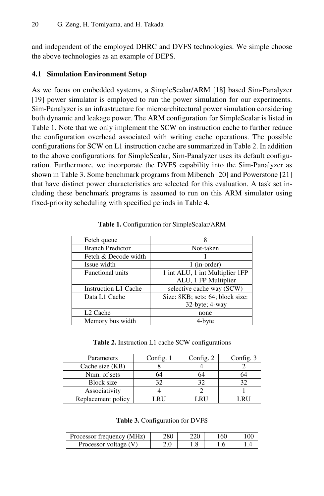and independent of the employed DHRC and DVFS technologies. We simple choose the above technologies as an example of DEPS.

## **4.1 Simulation Environment Setup**

As we focus on embedded systems, a SimpleScalar/ARM [18] based Sim-Panalyzer [19] power simulator is employed to run the power simulation for our experiments. Sim-Panalyzer is an infrastructure for microarchitectural power simulation considering both dynamic and leakage power. The ARM configuration for SimpleScalar is listed in Table 1. Note that we only implement the SCW on instruction cache to further reduce the configuration overhead associated with writing cache operations. The possible configurations for SCW on L1 instruction cache are summarized in Table 2. In addition to the above configurations for SimpleScalar, Sim-Panalyzer uses its default configuration. Furthermore, we incorporate the DVFS capability into the Sim-Panalyzer as shown in Table 3. Some benchmark programs from Mibench [20] and Powerstone [21] that have distinct power characteristics are selected for this evaluation. A task set including these benchmark programs is assumed to run on this ARM simulator using fixed-priority scheduling with specified periods in Table 4.

| Fetch queue             |                                  |  |  |  |
|-------------------------|----------------------------------|--|--|--|
| <b>Branch Predictor</b> | Not-taken                        |  |  |  |
| Fetch & Decode width    |                                  |  |  |  |
| Issue width             | 1 (in-order)                     |  |  |  |
| Functional units        | 1 int ALU, 1 int Multiplier 1FP  |  |  |  |
|                         | ALU, 1 FP Multiplier             |  |  |  |
| Instruction L1 Cache    | selective cache way (SCW)        |  |  |  |
| Data L1 Cache           | Size: 8KB; sets: 64; block size: |  |  |  |
|                         | $32$ -byte; $4$ -way             |  |  |  |
| L <sub>2</sub> Cache    | none                             |  |  |  |
| Memory bus width        | 4-byte                           |  |  |  |

**Table 1.** Configuration for SimpleScalar/ARM

**Table 2.** Instruction L1 cache SCW configurations

| Parameters         | Config. 1 | Config. 2 | Config. 3 |
|--------------------|-----------|-----------|-----------|
| Cache size (KB)    |           |           |           |
| Num. of sets       | 54        | 64        | 54        |
| Block size         | 32.       | 32.       | 32.       |
| Associativity      |           |           |           |
| Replacement policy |           |           |           |

**Table 3.** Configuration for DVFS

| Processor frequency (MHz) | 280 |  |  |
|---------------------------|-----|--|--|
| Processor voltage (V)     |     |  |  |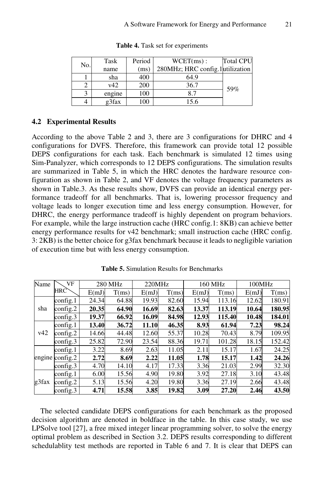|     | Task   | Period | $WCEPT(ms)$ :                   | <b>Total CPU</b> |
|-----|--------|--------|---------------------------------|------------------|
| No. | name   | (ms)   | 280MHz; HRC config.1utilization |                  |
|     | sha    | 400    | 64.9                            |                  |
|     | v42    | 200    | 36.7                            | 59%              |
|     | engine | 100    | 87                              |                  |
|     | g3fax  | l OC   | 15.6                            |                  |

**Table 4.** Task set for experiments

#### **4.2 Experimental Results**

According to the above Table 2 and 3, there are 3 configurations for DHRC and 4 configurations for DVFS. Therefore, this framework can provide total 12 possible DEPS configurations for each task. Each benchmark is simulated 12 times using Sim-Panalyzer, which corresponds to 12 DEPS configurations. The simulation results are summarized in Table 5, in which the HRC denotes the hardware resource configuration as shown in Table 2, and VF denotes the voltage frequency parameters as shown in Table.3. As these results show, DVFS can provide an identical energy performance tradeoff for all benchmarks. That is, lowering processor frequency and voltage leads to longer execution time and less energy consumption. However, for DHRC, the energy performance tradeoff is highly dependent on program behaviors. For example, while the large instruction cache (HRC config.1: 8KB) can achieve better energy performance results for v42 benchmark; small instruction cache (HRC config. 3: 2KB) is the better choice for g3fax benchmark because it leads to negligible variation of execution time but with less energy consumption.

| Name<br><b>VF</b> |                 |       | 280 MHz |       | 220MHz |       | 160 MHz |       | 100MHz |  |
|-------------------|-----------------|-------|---------|-------|--------|-------|---------|-------|--------|--|
|                   | HRC`            | E(mJ) | T(ms)   | E(mJ) | T(ms)  | E(mJ) | T(ms)   | E(mJ) | T(ms)  |  |
|                   | config.1        | 24.34 | 64.88   | 19.93 | 82.60  | 15.94 | 113.16  | 12.62 | 180.91 |  |
| sha               | config.2        | 20.35 | 64.90   | 16.69 | 82.63  | 13.37 | 113.19  | 10.64 | 180.95 |  |
|                   | config.3        | 19.37 | 66.92   | 16.09 | 84.98  | 12.93 | 115.40  | 10.48 | 184.01 |  |
| v42               | config.1        | 13.40 | 36.72   | 11.10 | 46.35  | 8.93  | 61.94   | 7.23  | 98.24  |  |
|                   | config.2        | 14.66 | 44.48   | 12.60 | 55.37  | 10.28 | 70.43   | 8.79  | 109.95 |  |
|                   | config.3        | 25.82 | 72.90   | 23.54 | 88.36  | 19.71 | 101.28  | 18.15 | 152.42 |  |
|                   | config.1        | 3.22  | 8.69    | 2.63  | 11.05  | 2.11  | 15.17   | 1.67  | 24.25  |  |
|                   | engine config.2 | 2.72  | 8.69    | 2.22  | 11.05  | 1.78  | 15.17   | 1.42  | 24.26  |  |
|                   | config.3        | 4.70  | 14.10   | 4.17  | 17.33  | 3.36  | 21.03   | 2.99  | 32.30  |  |
| g3fax             | config.1        | 6.00  | 15.56   | 4.90  | 19.80  | 3.92  | 27.18   | 3.10  | 43.48  |  |
|                   | config.2        | 5.13  | 15.56   | 4.20  | 19.80  | 3.36  | 27.19   | 2.66  | 43.48  |  |
|                   | config.3        | 4.71  | 15.58   | 3.85  | 19.82  | 3.09  | 27.20   | 2.46  | 43.50  |  |

**Table 5.** Simulation Results for Benchmarks

The selected candidate DEPS configurations for each benchmark as the proposed decision algorithm are denoted in boldface in the table. In this case study, we use LPSolve tool [27], a free mixed integer linear programming solver, to solve the energy optimal problem as described in Section 3.2. DEPS results corresponding to different schedulablity test methods are reported in Table 6 and 7. It is clear that DEPS can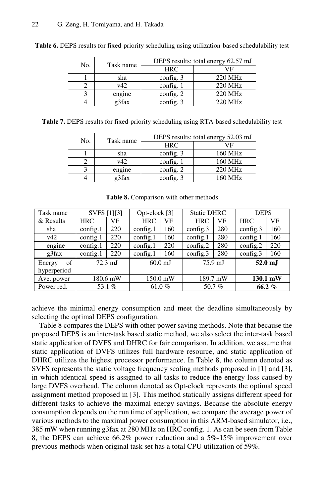| No. | Task name | DEPS results: total energy 62.57 mJ |         |  |  |  |
|-----|-----------|-------------------------------------|---------|--|--|--|
|     |           | <b>HRC</b>                          | VF      |  |  |  |
|     | sha       | config. 3                           | 220 MHz |  |  |  |
|     | v42       | config. 1                           | 220 MHz |  |  |  |
|     | engine    | config. 2                           | 220 MHz |  |  |  |
|     | g3fax     | config. 3                           | 220 MHz |  |  |  |

**Table 6.** DEPS results for fixed-priority scheduling using utilization-based schedulability test

**Table 7.** DEPS results for fixed-priority scheduling using RTA-based schedulability test

| No. | Task name | DEPS results: total energy 52.03 mJ |         |  |  |  |
|-----|-----------|-------------------------------------|---------|--|--|--|
|     |           | <b>HRC</b>                          | VF      |  |  |  |
|     | sha       | config. 3                           | 160 MHz |  |  |  |
|     | v42       | config. 1                           | 160 MHz |  |  |  |
|     | engine    | config. $2$                         | 220 MHz |  |  |  |
|     | g3fax     | config. 3                           | 160 MHz |  |  |  |

| Task name                   | <b>SVFS</b> [1][3] |                   | Opt-clock [3]     |     | <b>Static DHRC</b> |     | <b>DEPS</b>       |       |  |          |
|-----------------------------|--------------------|-------------------|-------------------|-----|--------------------|-----|-------------------|-------|--|----------|
| & Results                   | <b>HRC</b>         | VF                | <b>HRC</b>        | VF  | <b>HRC</b>         | VF  | <b>HRC</b>        | VF    |  |          |
| sha                         | config.1           | 220               | config.1          | 160 | config.3           | 280 | config.3          | 160   |  |          |
| v42                         | config.1           | 220               | config.1          | 160 | config.1           | 280 | config.1          | 160   |  |          |
| engine                      | config.1           | 220               | config.1          | 220 | config.2           | 280 | config.2          | 220   |  |          |
| $g3$ fax                    | config.1           | 220               | config.1          | 160 | config.3           | 280 | config.3          | 160   |  |          |
| of<br>Energy<br>hyperperiod |                    | $72.3 \text{ mJ}$ | $60.0 \text{ mJ}$ |     |                    |     | $75.9 \text{ mJ}$ |       |  | 52.0 mJ  |
| Ave. power                  |                    | 180.6 mW          | $150.0$ mW        |     | 189.7 mW           |     | $130.1$ mW        |       |  |          |
| Power red.                  | 53.1%              |                   | 61.0%             |     |                    |     |                   | 50.7% |  | 66.2 $%$ |

**Table 8.** Comparison with other methods

achieve the minimal energy consumption and meet the deadline simultaneously by selecting the optimal DEPS configuration.

Table 8 compares the DEPS with other power saving methods. Note that because the proposed DEPS is an inter-task based static method, we also select the inter-task based static application of DVFS and DHRC for fair comparison. In addition, we assume that static application of DVFS utilizes full hardware resource, and static application of DHRC utilizes the highest processor performance. In Table 8, the column denoted as SVFS represents the static voltage frequency scaling methods proposed in [1] and [3], in which identical speed is assigned to all tasks to reduce the energy loss caused by large DVFS overhead. The column denoted as Opt-clock represents the optimal speed assignment method proposed in [3]. This method statically assigns different speed for different tasks to achieve the maximal energy savings. Because the absolute energy consumption depends on the run time of application, we compare the average power of various methods to the maximal power consumption in this ARM-based simulator, i.e., 385 mW when running g3fax at 280 MHz on HRC config. 1. As can be seen from Table 8, the DEPS can achieve 66.2% power reduction and a 5%-15% improvement over previous methods when original task set has a total CPU utilization of 59%.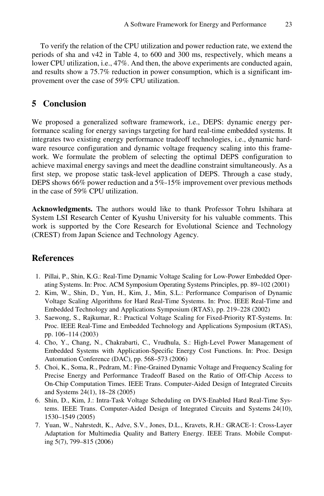To verify the relation of the CPU utilization and power reduction rate, we extend the periods of sha and v42 in Table 4, to 600 and 300 ms, respectively, which means a lower CPU utilization, i.e., 47%. And then, the above experiments are conducted again, and results show a 75.7% reduction in power consumption, which is a significant improvement over the case of 59% CPU utilization.

# **5 Conclusion**

We proposed a generalized software framework, i.e., DEPS: dynamic energy performance scaling for energy savings targeting for hard real-time embedded systems. It integrates two existing energy performance tradeoff technologies, i.e., dynamic hardware resource configuration and dynamic voltage frequency scaling into this framework. We formulate the problem of selecting the optimal DEPS configuration to achieve maximal energy savings and meet the deadline constraint simultaneously. As a first step, we propose static task-level application of DEPS. Through a case study, DEPS shows 66% power reduction and a 5%-15% improvement over previous methods in the case of 59% CPU utilization.

**Acknowledgments.** The authors would like to thank Professor Tohru Ishihara at System LSI Research Center of Kyushu University for his valuable comments. This work is supported by the Core Research for Evolutional Science and Technology (CREST) from Japan Science and Technology Agency.

## **References**

- 1. Pillai, P., Shin, K.G.: Real-Time Dynamic Voltage Scaling for Low-Power Embedded Operating Systems. In: Proc. ACM Symposium Operating Systems Principles, pp. 89–102 (2001)
- 2. Kim, W., Shin, D., Yun, H., Kim, J., Min, S.L.: Performance Comparison of Dynamic Voltage Scaling Algorithms for Hard Real-Time Systems. In: Proc. IEEE Real-Time and Embedded Technology and Applications Symposium (RTAS), pp. 219–228 (2002)
- 3. Saewong, S., Rajkumar, R.: Practical Voltage Scaling for Fixed-Priority RT-Systems. In: Proc. IEEE Real-Time and Embedded Technology and Applications Symposium (RTAS), pp. 106–114 (2003)
- 4. Cho, Y., Chang, N., Chakrabarti, C., Vrudhula, S.: High-Level Power Management of Embedded Systems with Application-Specific Energy Cost Functions. In: Proc. Design Automation Conference (DAC), pp. 568–573 (2006)
- 5. Choi, K., Soma, R., Pedram, M.: Fine-Grained Dynamic Voltage and Frequency Scaling for Precise Energy and Performance Tradeoff Based on the Ratio of Off-Chip Access to On-Chip Computation Times. IEEE Trans. Computer-Aided Design of Integrated Circuits and Systems 24(1), 18–28 (2005)
- 6. Shin, D., Kim, J.: Intra-Task Voltage Scheduling on DVS-Enabled Hard Real-Time Systems. IEEE Trans. Computer-Aided Design of Integrated Circuits and Systems 24(10), 1530–1549 (2005)
- 7. Yuan, W., Nahrstedt, K., Adve, S.V., Jones, D.L., Kravets, R.H.: GRACE-1: Cross-Layer Adaptation for Multimedia Quality and Battery Energy. IEEE Trans. Mobile Computing 5(7), 799–815 (2006)